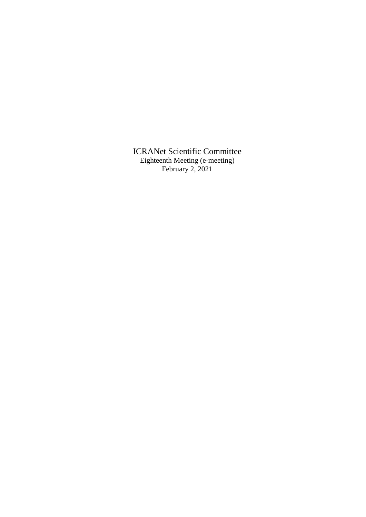ICRANet Scientific Committee Eighteenth Meeting (e-meeting) February 2, 2021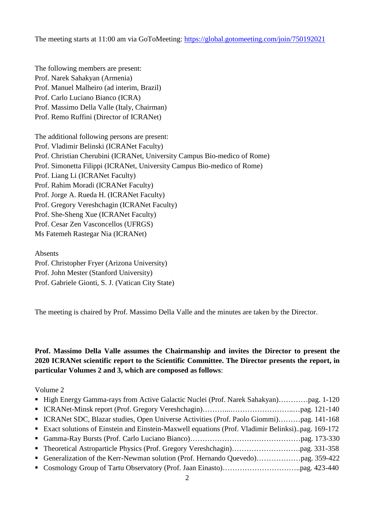The meeting starts at 11:00 am via GoToMeeting:<https://global.gotomeeting.com/join/750192021>

The following members are present: Prof. Narek Sahakyan (Armenia) Prof. Manuel Malheiro (ad interim, Brazil) Prof. Carlo Luciano Bianco (ICRA) Prof. Massimo Della Valle (Italy, Chairman) Prof. Remo Ruffini (Director of ICRANet)

The additional following persons are present: Prof. Vladimir Belinski (ICRANet Faculty) Prof. Christian Cherubini (ICRANet, University Campus Bio-medico of Rome) Prof. Simonetta Filippi (ICRANet, University Campus Bio-medico of Rome) Prof. Liang Li (ICRANet Faculty) Prof. Rahim Moradi (ICRANet Faculty) Prof. Jorge A. Rueda H. (ICRANet Faculty) Prof. Gregory Vereshchagin (ICRANet Faculty) Prof. She-Sheng Xue (ICRANet Faculty) Prof. Cesar Zen Vasconcellos (UFRGS) Ms Fatemeh Rastegar Nia (ICRANet)

Absents Prof. Christopher Fryer (Arizona University) Prof. John Mester (Stanford University) Prof. Gabriele Gionti, S. J. (Vatican City State)

The meeting is chaired by Prof. Massimo Della Valle and the minutes are taken by the Director.

**Prof. Massimo Della Valle assumes the Chairmanship and invites the Director to present the 2020 ICRANet scientific report to the Scientific Committee. The Director presents the report, in particular Volumes 2 and 3, which are composed as follows**:

Volume 2

| • ICRANet SDC, Blazar studies, Open Universe Activities (Prof. Paolo Giommi)pag. 141-168           |  |
|----------------------------------------------------------------------------------------------------|--|
| • Exact solutions of Einstein and Einstein-Maxwell equations (Prof. Vladimir Belinksi)pag. 169-172 |  |
|                                                                                                    |  |
|                                                                                                    |  |
|                                                                                                    |  |
|                                                                                                    |  |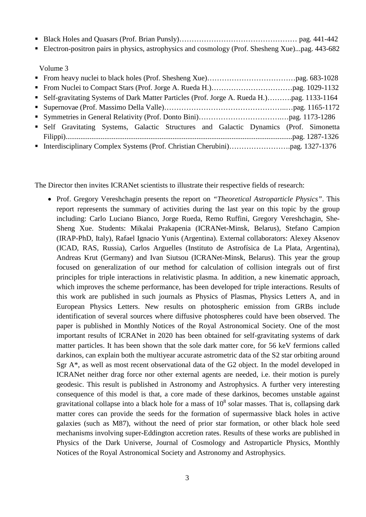- Black Holes and Quasars (Prof. Brian Punsly)………………………………………………… pag. 441-442
- Electron-positron pairs in physics, astrophysics and cosmology (Prof. Shesheng Xue)...pag. 443-682

Volume 3

| • Self Gravitating Systems, Galactic Structures and Galactic Dynamics (Prof. Simonetta |  |
|----------------------------------------------------------------------------------------|--|
|                                                                                        |  |
|                                                                                        |  |

The Director then invites ICRANet scientists to illustrate their respective fields of research:

• Prof. Gregory Vereshchagin presents the report on *"Theoretical Astroparticle Physics"*. This report represents the summary of activities during the last year on this topic by the group including: Carlo Luciano Bianco, Jorge Rueda, Remo Ruffini, Gregory Vereshchagin, She-Sheng Xue. Students: Mikalai Prakapenia (ICRANet-Minsk, Belarus), Stefano Campion (IRAP-PhD, Italy), Rafael Ignacio Yunis (Argentina). External collaborators: Alexey Aksenov (ICAD, RAS, Russia), Carlos Arguelles (Instituto de Astrofísica de La Plata, Argentina), Andreas Krut (Germany) and Ivan Siutsou (ICRANet-Minsk, Belarus). This year the group focused on generalization of our method for calculation of collision integrals out of first principles for triple interactions in relativistic plasma. In addition, a new kinematic approach, which improves the scheme performance, has been developed for triple interactions. Results of this work are published in such journals as Physics of Plasmas, Physics Letters A, and in European Physics Letters. New results on photospheric emission from GRBs include identification of several sources where diffusive photospheres could have been observed. The paper is published in Monthly Notices of the Royal Astronomical Society. One of the most important results of ICRANet in 2020 has been obtained for self-gravitating systems of dark matter particles. It has been shown that the sole dark matter core, for 56 keV fermions called darkinos, can explain both the multiyear accurate astrometric data of the S2 star orbiting around Sgr A\*, as well as most recent observational data of the G2 object. In the model developed in ICRANet neither drag force nor other external agents are needed, i.e. their motion is purely geodesic. This result is published in Astronomy and Astrophysics. A further very interesting consequence of this model is that, a core made of these darkinos, becomes unstable against gravitational collapse into a black hole for a mass of  $10<sup>8</sup>$  solar masses. That is, collapsing dark matter cores can provide the seeds for the formation of supermassive black holes in active galaxies (such as M87), without the need of prior star formation, or other black hole seed mechanisms involving super-Eddington accretion rates. Results of these works are published in Physics of the Dark Universe, Journal of Cosmology and Astroparticle Physics, Monthly Notices of the Royal Astronomical Society and Astronomy and Astrophysics.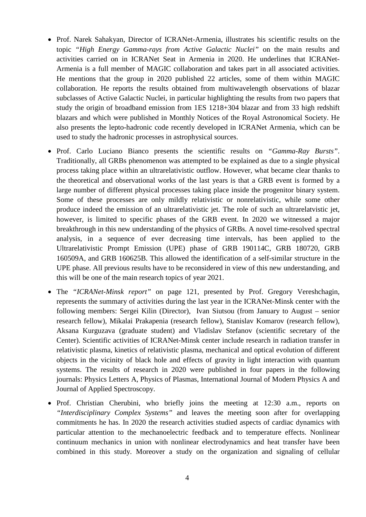- Prof. Narek Sahakyan, Director of ICRANet-Armenia, illustrates his scientific results on the topic *"High Energy Gamma-rays from Active Galactic Nuclei"* on the main results and activities carried on in ICRANet Seat in Armenia in 2020. He underlines that ICRANet-Armenia is a full member of MAGIC collaboration and takes part in all associated activities. He mentions that the group in 2020 published 22 articles, some of them within MAGIC collaboration. He reports the results obtained from multiwavelength observations of blazar subclasses of Active Galactic Nuclei, in particular highlighting the results from two papers that study the origin of broadband emission from 1ES 1218+304 blazar and from 33 high redshift blazars and which were published in Monthly Notices of the Royal Astronomical Society. He also presents the lepto-hadronic code recently developed in ICRANet Armenia, which can be used to study the hadronic processes in astrophysical sources.
- Prof. Carlo Luciano Bianco presents the scientific results on *"Gamma-Ray Bursts"*. Traditionally, all GRBs phenomenon was attempted to be explained as due to a single physical process taking place within an ultrarelativistic outflow. However, what became clear thanks to the theoretical and observational works of the last years is that a GRB event is formed by a large number of different physical processes taking place inside the progenitor binary system. Some of these processes are only mildly relativistic or nonrelativistic, while some other produce indeed the emission of an ultrarelativistic jet. The role of such an ultrarelatvistic jet, however, is limited to specific phases of the GRB event. In 2020 we witnessed a major breakthrough in this new understanding of the physics of GRBs. A novel time-resolved spectral analysis, in a sequence of ever decreasing time intervals, has been applied to the Ultrarelativistic Prompt Emission (UPE) phase of GRB 190114C, GRB 180720, GRB 160509A, and GRB 160625B. This allowed the identification of a self-similar structure in the UPE phase. All previous results have to be reconsidered in view of this new understanding, and this will be one of the main research topics of year 2021.
- The *"ICRANet-Minsk report"* on page 121, presented by Prof. Gregory Vereshchagin, represents the summary of activities during the last year in the ICRANet-Minsk center with the following members: Sergei Kilin (Director), Ivan Siutsou (from January to August – senior research fellow), Mikalai Prakapenia (research fellow), Stanislav Komarov (research fellow), Aksana Kurguzava (graduate student) and Vladislav Stefanov (scientific secretary of the Center). Scientific activities of ICRANet-Minsk center include research in radiation transfer in relativistic plasma, kinetics of relativistic plasma, mechanical and optical evolution of different objects in the vicinity of black hole and effects of gravity in light interaction with quantum systems. The results of research in 2020 were published in four papers in the following journals: Physics Letters A, Physics of Plasmas, International Journal of Modern Physics A and Journal of Applied Spectroscopy.
- Prof. Christian Cherubini, who briefly joins the meeting at 12:30 a.m., reports on *"Interdisciplinary Complex Systems"* and leaves the meeting soon after for overlapping commitments he has. In 2020 the research activities studied aspects of cardiac dynamics with particular attention to the mechanoelectric feedback and to temperature effects. Nonlinear continuum mechanics in union with nonlinear electrodynamics and heat transfer have been combined in this study. Moreover a study on the organization and signaling of cellular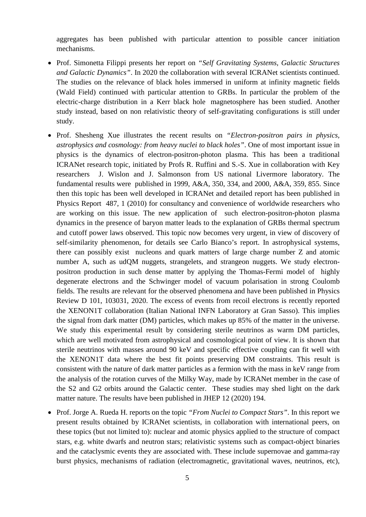aggregates has been published with particular attention to possible cancer initiation mechanisms.

- Prof. Simonetta Filippi presents her report on *"Self Gravitating Systems, Galactic Structures and Galactic Dynamics"*. In 2020 the collaboration with several ICRANet scientists continued. The studies on the relevance of black holes immersed in uniform at infinity magnetic fields (Wald Field) continued with particular attention to GRBs. In particular the problem of the electric-charge distribution in a Kerr black hole magnetosphere has been studied. Another study instead, based on non relativistic theory of self-gravitating configurations is still under study.
- Prof. Shesheng Xue illustrates the recent results on *"Electron-positron pairs in physics, astrophysics and cosmology: from heavy nuclei to black holes"*. One of most important issue in physics is the dynamics of electron-positron-photon plasma. This has been a traditional ICRANet research topic, initiated by Profs R. Ruffini and S.-S. Xue in collaboration with Key researchers J. Wislon and J. Salmonson from US national Livermore laboratory. The fundamental results were published in 1999, A&A, 350, 334, and 2000, A&A, 359, 855. Since then this topic has been well developed in ICRANet and detailed report has been published in Physics Report 487, 1 (2010) for consultancy and convenience of worldwide researchers who are working on this issue. The new application of such electron-positron-photon plasma dynamics in the presence of baryon matter leads to the explanation of GRBs thermal spectrum and cutoff power laws observed. This topic now becomes very urgent, in view of discovery of self-similarity phenomenon, for details see Carlo Bianco's report. In astrophysical systems, there can possibly exist nucleons and quark matters of large charge number Z and atomic number A, such as udQM nuggets, strangelets, and strangeon nuggets. We study electronpositron production in such dense matter by applying the Thomas-Fermi model of highly degenerate electrons and the Schwinger model of vacuum polarisation in strong Coulomb fields. The results are relevant for the observed phenomena and have been published in Physics Review D 101, 103031, 2020. The excess of events from recoil electrons is recently reported the XENON1T collaboration (Italian National INFN Laboratory at Gran Sasso). This implies the signal from dark matter (DM) particles, which makes up 85% of the matter in the universe. We study this experimental result by considering sterile neutrinos as warm DM particles, which are well motivated from astrophysical and cosmological point of view. It is shown that sterile neutrinos with masses around 90 keV and specific effective coupling can fit well with the XENON1T data where the best fit points preserving DM constraints. This result is consistent with the nature of dark matter particles as a fermion with the mass in keV range from the analysis of the rotation curves of the Milky Way, made by ICRANet member in the case of the S2 and G2 orbits around the Galactic center. These studies may shed light on the dark matter nature. The results have been published in JHEP 12 (2020) 194.
- Prof. Jorge A. Rueda H. reports on the topic *"From Nuclei to Compact Stars"*. In this report we present results obtained by ICRANet scientists, in collaboration with international peers, on these topics (but not limited to): nuclear and atomic physics applied to the structure of compact stars, e.g. white dwarfs and neutron stars; relativistic systems such as compact-object binaries and the cataclysmic events they are associated with. These include supernovae and gamma-ray burst physics, mechanisms of radiation (electromagnetic, gravitational waves, neutrinos, etc),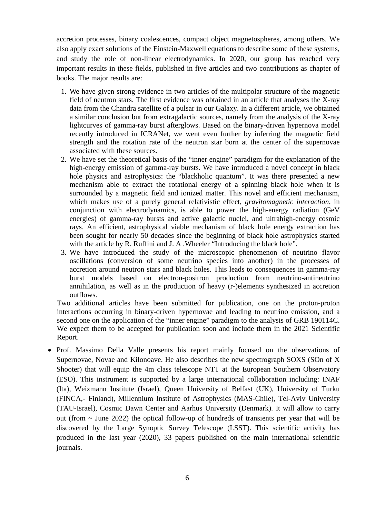accretion processes, binary coalescences, compact object magnetospheres, among others. We also apply exact solutions of the Einstein-Maxwell equations to describe some of these systems, and study the role of non-linear electrodynamics. In 2020, our group has reached very important results in these fields, published in five articles and two contributions as chapter of books. The major results are:

- 1. We have given strong evidence in two articles of the multipolar structure of the magnetic field of neutron stars. The first evidence was obtained in an article that analyses the X-ray data from the Chandra satellite of a pulsar in our Galaxy. In a different article, we obtained a similar conclusion but from extragalactic sources, namely from the analysis of the X-ray lightcurves of gamma-ray burst afterglows. Based on the binary-driven hypernova model recently introduced in ICRANet, we went even further by inferring the magnetic field strength and the rotation rate of the neutron star born at the center of the supernovae associated with these sources.
- 2. We have set the theoretical basis of the "inner engine" paradigm for the explanation of the high-energy emission of gamma-ray bursts. We have introduced a novel concept in black hole physics and astrophysics: the "blackholic quantum". It was there presented a new mechanism able to extract the rotational energy of a spinning black hole when it is surrounded by a magnetic field and ionized matter. This novel and efficient mechanism, which makes use of a purely general relativistic effect, *gravitomagnetic interaction*, in conjunction with electrodynamics, is able to power the high-energy radiation (GeV energies) of gamma-ray bursts and active galactic nuclei, and ultrahigh-energy cosmic rays. An efficient, astrophysical viable mechanism of black hole energy extraction has been sought for nearly 50 decades since the beginning of black hole astrophysics started with the article by R. Ruffini and J. A. Wheeler "Introducing the black hole".
- 3. We have introduced the study of the microscopic phenomenon of neutrino flavor oscillations (conversion of some neutrino species into another) in the processes of accretion around neutron stars and black holes. This leads to consequences in gamma-ray burst models based on electron-positron production from neutrino-antineutrino annihilation, as well as in the production of heavy (r-)elements synthesized in accretion outflows.

Two additional articles have been submitted for publication, one on the proton-proton interactions occurring in binary-driven hypernovae and leading to neutrino emission, and a second one on the application of the "inner engine" paradigm to the analysis of GRB 190114C. We expect them to be accepted for publication soon and include them in the 2021 Scientific Report.

• Prof. Massimo Della Valle presents his report mainly focused on the observations of Supernovae, Novae and Kilonoave. He also describes the new spectrograph SOXS (SOn of X Shooter) that will equip the 4m class telescope NTT at the European Southern Observatory (ESO). This instrument is supported by a large international collaboration including: INAF (Ita), Weizmann Institute (Israel), Queen University of Belfast (UK), University of Turku (FINCA,- Finland), Millennium Institute of Astrophysics (MAS-Chile), Tel-Aviv University (TAU-Israel), Cosmic Dawn Center and Aarhus University (Denmark). It will allow to carry out (from  $\sim$  June 2022) the optical follow-up of hundreds of transients per year that will be discovered by the Large Synoptic Survey Telescope (LSST). This scientific activity has produced in the last year (2020), 33 papers published on the main international scientific journals.